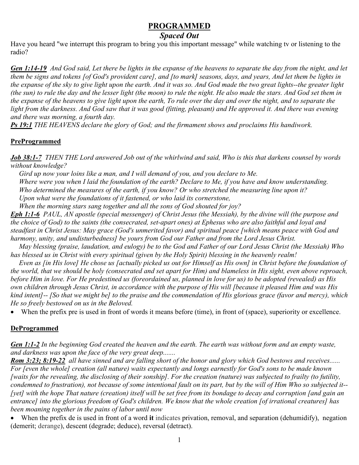# **PROGRAMMED**

# *Spaced Out*

Have you heard "we interrupt this program to bring you this important message" while watching tv or listening to the radio?

*Gen 1:14-19 And God said, Let there be lights in the expanse of the heavens to separate the day from the night, and let them be signs and tokens [of God's provident care], and [to mark] seasons, days, and years, And let them be lights in the expanse of the sky to give light upon the earth. And it was so. And God made the two great lights--the greater light (the sun) to rule the day and the lesser light (the moon) to rule the night. He also made the stars. And God set them in the expanse of the heavens to give light upon the earth, To rule over the day and over the night, and to separate the*  light from the darkness. And God saw that it was good (fitting, pleasant) and He approved it. And there was evening *and there was morning, a fourth day.* 

*Ps 19:1 THE HEAVENS declare the glory of God; and the firmament shows and proclaims His handiwork.* 

#### **PreProgrammed**

*Job 38:1-7 THEN THE Lord answered Job out of the whirlwind and said, Who is this that darkens counsel by words without knowledge?* 

 *Gird up now your loins like a man, and I will demand of you, and you declare to Me. Where were you when I laid the foundation of the earth? Declare to Me, if you have and know understanding. Who determined the measures of the earth, if you know? Or who stretched the measuring line upon it? Upon what were the foundations of it fastened, or who laid its cornerstone,* 

 *When the morning stars sang together and all the sons of God shouted for joy?* 

*Eph 1:1-6 PAUL, AN apostle (special messenger) of Christ Jesus (the Messiah), by the divine will (the purpose and the choice of God) to the saints (the consecrated, set-apart ones) at Ephesus who are also faithful and loyal and steadfast in Christ Jesus: May grace (God's unmerited favor) and spiritual peace [which means peace with God and harmony, unity, and undisturbedness] be yours from God our Father and from the Lord Jesus Christ.* 

 *May blessing (praise, laudation, and eulogy) be to the God and Father of our Lord Jesus Christ (the Messiah) Who has blessed us in Christ with every spiritual (given by the Holy Spirit) blessing in the heavenly realm!* 

 *Even as [in His love] He chose us [actually picked us out for Himself as His own] in Christ before the foundation of the world, that we should be holy (consecrated and set apart for Him) and blameless in His sight, even above reproach, before Him in love. For He predestined us (foreordained us, planned in love for us) to be adopted (revealed) as His own children through Jesus Christ, in accordance with the purpose of His will [because it pleased Him and was His kind intent]-- [So that we might be] to the praise and the commendation of His glorious grace (favor and mercy), which He so freely bestowed on us in the Beloved.* 

When the prefix pre is used in front of words it means before (time), in front of (space), superiority or excellence.

## **DeProgrammed**

*Gen 1:1-2 In the beginning God created the heaven and the earth. The earth was without form and an empty waste, and darkness was upon the face of the very great deep.......* 

*Rom 3:23; 8:19-22 all have sinned and are falling short of the honor and glory which God bestows and receives...... For [even the whole] creation (all nature) waits expectantly and longs earnestly for God's sons to be made known [waits for the revealing, the disclosing of their sonship]. For the creation (nature) was subjected to frailty (to futility, condemned to frustration), not because of some intentional fault on its part, but by the will of Him Who so subjected it-- [yet] with the hope That nature (creation) itself will be set free from its bondage to decay and corruption [and gain an entrance] into the glorious freedom of God's children. We know that the whole creation [of irrational creatures] has been moaning together in the pains of labor until now* 

• When the prefix de is used in front of a word **it** indicates privation, removal, and separation (dehumidify), negation (demerit; derange), descent (degrade; deduce), reversal (detract).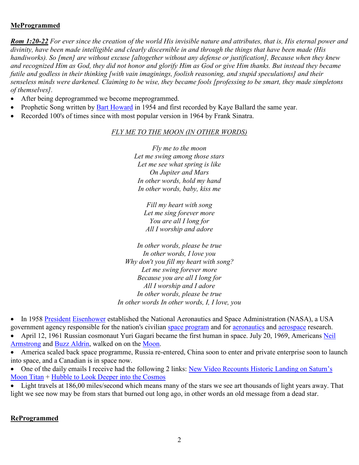## **MeProgrammed**

*Rom 1:20-22 For ever since the creation of the world His invisible nature and attributes, that is, His eternal power and divinity, have been made intelligible and clearly discernible in and through the things that have been made (His handiworks). So [men] are without excuse [altogether without any defense or justification], Because when they knew and recognized Him as God, they did not honor and glorify Him as God or give Him thanks. But instead they became futile and godless in their thinking [with vain imaginings, foolish reasoning, and stupid speculations] and their senseless minds were darkened. Claiming to be wise, they became fools [professing to be smart, they made simpletons of themselves].* 

- After being deprogrammed we become meprogrammed.
- Prophetic Song written by Bart Howard in 1954 and first recorded by Kaye Ballard the same year.
- Recorded 100's of times since with most popular version in 1964 by Frank Sinatra.

#### *FLY ME TO THE MOON (IN OTHER WORDS)*

*Fly me to the moon Let me swing among those stars Let me see what spring is like On Jupiter and Mars In other words, hold my hand In other words, baby, kiss me* 

*Fill my heart with song Let me sing forever more You are all I long for All I worship and adore* 

*In other words, please be true In other words, I love you Why don't you fill my heart with song? Let me swing forever more Because you are all I long for All I worship and I adore In other words, please be true In other words In other words, I, I love, you* 

• In 1958 President Eisenhower established the National Aeronautics and Space Administration (NASA), a USA government agency responsible for the nation's civilian space program and for aeronautics and aerospace research.

- April 12, 1961 Russian cosmonaut Yuri Gagari became the first human in space. July 20, 1969, Americans Neil Armstrong and Buzz Aldrin, walked on on the Moon.
- America scaled back space programme, Russia re-entered, China soon to enter and private enterprise soon to launch into space, and a Canadian is in space now.
- One of the daily emails I receive had the following 2 links: New Video Recounts Historic Landing on Saturn's Moon Titan + Hubble to Look Deeper into the Cosmos

• Light travels at 186,00 miles/second which means many of the stars we see art thousands of light years away. That light we see now may be from stars that burned out long ago, in other words an old message from a dead star.

## **ReProgrammed**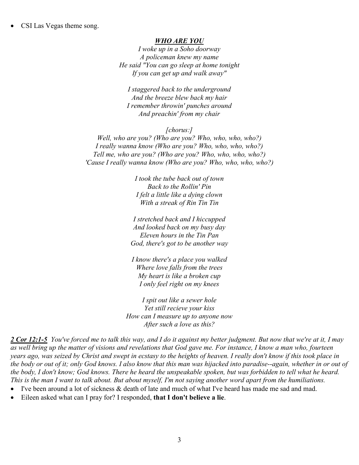• CSI Las Vegas theme song.

#### *WHO ARE YOU*

*I woke up in a Soho doorway A policeman knew my name He said "You can go sleep at home tonight If you can get up and walk away"* 

*I staggered back to the underground And the breeze blew back my hair I remember throwin' punches around And preachin' from my chair* 

#### *[chorus:]*

*Well, who are you? (Who are you? Who, who, who, who?) I really wanna know (Who are you? Who, who, who, who?) Tell me, who are you? (Who are you? Who, who, who, who?) 'Cause I really wanna know (Who are you? Who, who, who, who?)* 

> *I took the tube back out of town Back to the Rollin' Pin I felt a little like a dying clown With a streak of Rin Tin Tin*

*I stretched back and I hiccupped And looked back on my busy day Eleven hours in the Tin Pan God, there's got to be another way* 

*I know there's a place you walked Where love falls from the trees My heart is like a broken cup I only feel right on my knees* 

*I spit out like a sewer hole Yet still recieve your kiss How can I measure up to anyone now After such a love as this?* 

*2 Cor 12:1-5 You've forced me to talk this way, and I do it against my better judgment. But now that we're at it, I may as well bring up the matter of visions and revelations that God gave me. For instance, I know a man who, fourteen years ago, was seized by Christ and swept in ecstasy to the heights of heaven. I really don't know if this took place in the body or out of it; only God knows. I also know that this man was hijacked into paradise--again, whether in or out of the body, I don't know; God knows. There he heard the unspeakable spoken, but was forbidden to tell what he heard. This is the man I want to talk about. But about myself, I'm not saying another word apart from the humiliations.* 

- I've been around a lot of sickness & death of late and much of what I've heard has made me sad and mad.
- Eileen asked what can I pray for? I responded, **that I don't believe a lie**.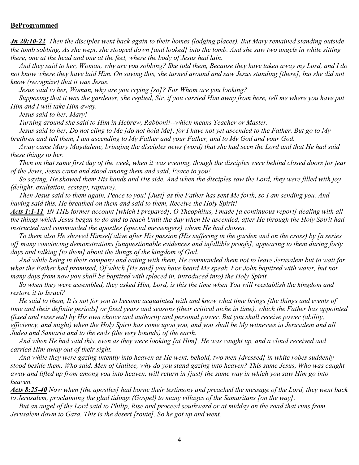#### **BeProgrammed**

*Jn 20:10-22 Then the disciples went back again to their homes (lodging places). But Mary remained standing outside the tomb sobbing. As she wept, she stooped down [and looked] into the tomb. And she saw two angels in white sitting there, one at the head and one at the feet, where the body of Jesus had lain.* 

 *And they said to her, Woman, why are you sobbing? She told them, Because they have taken away my Lord, and I do not know where they have laid Him. On saying this, she turned around and saw Jesus standing [there], but she did not know (recognize) that it was Jesus.* 

 *Jesus said to her, Woman, why are you crying [so]? For Whom are you looking?* 

 *Supposing that it was the gardener, she replied, Sir, if you carried Him away from here, tell me where you have put Him and I will take Him away.* 

 *Jesus said to her, Mary!* 

 *Turning around she said to Him in Hebrew, Rabboni!--which means Teacher or Master.* 

 *Jesus said to her, Do not cling to Me [do not hold Me], for I have not yet ascended to the Father. But go to My brethren and tell them, I am ascending to My Father and your Father, and to My God and your God.* 

 *Away came Mary Magdalene, bringing the disciples news (word) that she had seen the Lord and that He had said these things to her.* 

 *Then on that same first day of the week, when it was evening, though the disciples were behind closed doors for fear of the Jews, Jesus came and stood among them and said, Peace to you!* 

 *So saying, He showed them His hands and His side. And when the disciples saw the Lord, they were filled with joy (delight, exultation, ecstasy, rapture).* 

 *Then Jesus said to them again, Peace to you! [Just] as the Father has sent Me forth, so I am sending you. And having said this, He breathed on them and said to them, Receive the Holy Spirit!* 

*Acts 1:1-11 IN THE former account [which I prepared], O Theophilus, I made [a continuous report] dealing with all the things which Jesus began to do and to teach Until the day when He ascended, after He through the Holy Spirit had instructed and commanded the apostles (special messengers) whom He had chosen.* 

 *To them also He showed Himself alive after His passion (His suffering in the garden and on the cross) by [a series of] many convincing demonstrations [unquestionable evidences and infallible proofs], appearing to them during forty days and talking [to them] about the things of the kingdom of God.* 

 *And while being in their company and eating with them, He commanded them not to leave Jerusalem but to wait for*  what the Father had promised, Of which [He said] you have heard Me speak. For John baptized with water, but not *many days from now you shall be baptized with (placed in, introduced into) the Holy Spirit.* 

 *So when they were assembled, they asked Him, Lord, is this the time when You will reestablish the kingdom and restore it to Israel?* 

 *He said to them, It is not for you to become acquainted with and know what time brings [the things and events of time and their definite periods] or fixed years and seasons (their critical niche in time), which the Father has appointed (fixed and reserved) by His own choice and authority and personal power. But you shall receive power (ability, efficiency, and might) when the Holy Spirit has come upon you, and you shall be My witnesses in Jerusalem and all Judea and Samaria and to the ends (the very bounds) of the earth.* 

 *And when He had said this, even as they were looking [at Him], He was caught up, and a cloud received and carried Him away out of their sight.* 

 *And while they were gazing intently into heaven as He went, behold, two men [dressed] in white robes suddenly stood beside them, Who said, Men of Galilee, why do you stand gazing into heaven? This same Jesus, Who was caught away and lifted up from among you into heaven, will return in [just] the same way in which you saw Him go into heaven.* 

*Acts 8:25-40 Now when [the apostles] had borne their testimony and preached the message of the Lord, they went back to Jerusalem, proclaiming the glad tidings (Gospel) to many villages of the Samaritans [on the way].* 

 *But an angel of the Lord said to Philip, Rise and proceed southward or at midday on the road that runs from Jerusalem down to Gaza. This is the desert [route]. So he got up and went.*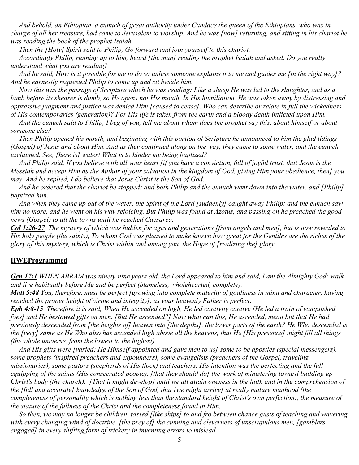*And behold, an Ethiopian, a eunuch of great authority under Candace the queen of the Ethiopians, who was in charge of all her treasure, had come to Jerusalem to worship. And he was [now] returning, and sitting in his chariot he was reading the book of the prophet Isaiah.* 

 *Then the [Holy] Spirit said to Philip, Go forward and join yourself to this chariot.* 

 *Accordingly Philip, running up to him, heard [the man] reading the prophet Isaiah and asked, Do you really understand what you are reading?* 

 *And he said, How is it possible for me to do so unless someone explains it to me and guides me [in the right way]? And he earnestly requested Philip to come up and sit beside him.* 

 *Now this was the passage of Scripture which he was reading: Like a sheep He was led to the slaughter, and as a lamb before its shearer is dumb, so He opens not His mouth. In His humiliation He was taken away by distressing and oppressive judgment and justice was denied Him [caused to cease]. Who can describe or relate in full the wickedness of His contemporaries (generation)? For His life is taken from the earth and a bloody death inflicted upon Him.* 

 *And the eunuch said to Philip, I beg of you, tell me about whom does the prophet say this, about himself or about someone else?* 

 *Then Philip opened his mouth, and beginning with this portion of Scripture he announced to him the glad tidings (Gospel) of Jesus and about Him. And as they continued along on the way, they came to some water, and the eunuch exclaimed, See, [here is] water! What is to hinder my being baptized?* 

 *And Philip said, If you believe with all your heart [if you have a conviction, full of joyful trust, that Jesus is the Messiah and accept Him as the Author of your salvation in the kingdom of God, giving Him your obedience, then] you may. And he replied, I do believe that Jesus Christ is the Son of God.* 

 *And he ordered that the chariot be stopped; and both Philip and the eunuch went down into the water, and [Philip] baptized him.* 

 *And when they came up out of the water, the Spirit of the Lord [suddenly] caught away Philip; and the eunuch saw him no more, and he went on his way rejoicing. But Philip was found at Azotus, and passing on he preached the good news (Gospel) to all the towns until he reached Caesarea.* 

*Col 1:26-27 The mystery of which was hidden for ages and generations [from angels and men], but is now revealed to His holy people (the saints), To whom God was pleased to make known how great for the Gentiles are the riches of the glory of this mystery, which is Christ within and among you, the Hope of [realizing the] glory*.

#### **HWEProgrammed**

*Gen 17:1 WHEN ABRAM was ninety-nine years old, the Lord appeared to him and said, I am the Almighty God; walk and live habitually before Me and be perfect (blameless, wholehearted, complete).*

*Matt 5:48 You, therefore, must be perfect [growing into complete maturity of godliness in mind and character, having reached the proper height of virtue and integrity], as your heavenly Father is perfect*.

*Eph 4:8-15 Therefore it is said, When He ascended on high, He led captivity captive [He led a train of vanquished foes] and He bestowed gifts on men. [But He ascended?] Now what can this, He ascended, mean but that He had previously descended from [the heights of] heaven into [the depths], the lower parts of the earth? He Who descended is the [very] same as He Who also has ascended high above all the heavens, that He [His presence] might fill all things (the whole universe, from the lowest to the highest).* 

 *And His gifts were [varied; He Himself appointed and gave men to us] some to be apostles (special messengers), some prophets (inspired preachers and expounders), some evangelists (preachers of the Gospel, traveling missionaries), some pastors (shepherds of His flock) and teachers. His intention was the perfecting and the full equipping of the saints (His consecrated people), [that they should do] the work of ministering toward building up Christ's body (the church), [That it might develop] until we all attain oneness in the faith and in the comprehension of the [full and accurate] knowledge of the Son of God, that [we might arrive] at really mature manhood (the completeness of personality which is nothing less than the standard height of Christ's own perfection), the measure of the stature of the fullness of the Christ and the completeness found in Him.* 

 *So then, we may no longer be children, tossed [like ships] to and fro between chance gusts of teaching and wavering with every changing wind of doctrine, [the prey of] the cunning and cleverness of unscrupulous men, [gamblers engaged] in every shifting form of trickery in inventing errors to mislead.*